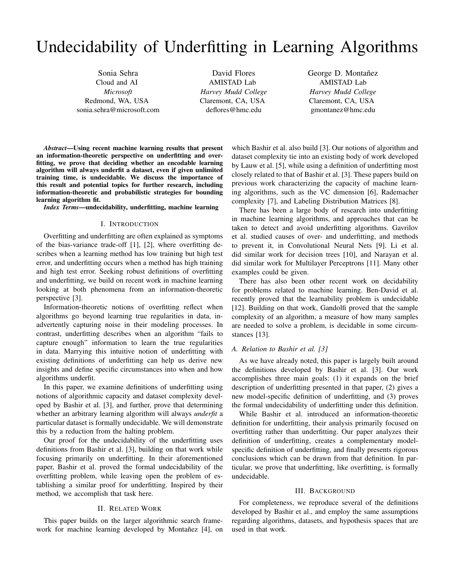# Undecidability of Underfitting in Learning Algorithms

Sonia Sehra Cloud and AI *Microsoft* Redmond, WA, USA sonia.sehra@microsoft.com

David Flores AMISTAD Lab *Harvey Mudd College* Claremont, CA, USA deflores@hmc.edu

George D. Montañez AMISTAD Lab *Harvey Mudd College* Claremont, CA, USA gmontanez@hmc.edu

*Abstract*—Using recent machine learning results that present an information-theoretic perspective on underfitting and overfitting, we prove that deciding whether an encodable learning algorithm will always underfit a dataset, even if given unlimited training time, is undecidable. We discuss the importance of this result and potential topics for further research, including information-theoretic and probabilistic strategies for bounding learning algorithm fit.

*Index Terms*—undecidability, underfitting, machine learning

### I. INTRODUCTION

Overfitting and underfitting are often explained as symptoms of the bias-variance trade-off [1], [2], where overfitting describes when a learning method has low training but high test error, and underfitting occurs when a method has high training and high test error. Seeking robust definitions of overfitting and underfitting, we build on recent work in machine learning looking at both phenomena from an information-theoretic perspective [3].

Information-theoretic notions of overfitting reflect when algorithms go beyond learning true regularities in data, inadvertently capturing noise in their modeling processes. In contrast, underfitting describes when an algorithm "fails to capture enough" information to learn the true regularities in data. Marrying this intuitive notion of underfitting with existing definitions of underfitting can help us derive new insights and define specific circumstances into when and how algorithms underfit.

In this paper, we examine definitions of underfitting using notions of algorithmic capacity and dataset complexity developed by Bashir et al. [3], and further, prove that determining whether an arbitrary learning algorithm will always *underfit* a particular dataset is formally undecidable. We will demonstrate this by a reduction from the halting problem.

Our proof for the undecidability of the underfitting uses definitions from Bashir et al. [3], building on that work while focusing primarily on underfitting. In their aforementioned paper, Bashir et al. proved the formal undecidability of the overfitting problem, while leaving open the problem of establishing a similar proof for underfitting. Inspired by their method, we accomplish that task here.

#### II. RELATED WORK

This paper builds on the larger algorithmic search framework for machine learning developed by Montanez [4], on which Bashir et al. also build [3]. Our notions of algorithm and dataset complexity tie into an existing body of work developed by Lauw et al. [5], while using a definition of underfitting most closely related to that of Bashir et al. [3]. These papers build on previous work characterizing the capacity of machine learning algorithms, such as the VC dimension [6], Rademacher complexity [7], and Labeling Distribution Matrices [8].

There has been a large body of research into underfitting in machine learning algorithms, and approaches that can be taken to detect and avoid underfitting algorithms. Gavrilov et al. studied causes of over- and underfitting, and methods to prevent it, in Convolutional Neural Nets [9]. Li et al. did similar work for decision trees [10], and Narayan et al. did similar work for Multilayer Perceptrons [11]. Many other examples could be given.

There has also been other recent work on decidability for problems related to machine learning. Ben-David et al. recently proved that the learnability problem is undecidable [12]. Building on that work, Gandolfi proved that the sample complexity of an algorithm, a measure of how many samples are needed to solve a problem, is decidable in some circumstances [13].

# *A. Relation to Bashir et al. [3]*

As we have already noted, this paper is largely built around the definitions developed by Bashir et al. [3]. Our work accomplishes three main goals: (1) it expands on the brief description of underfitting presented in that paper, (2) gives a new model-specific definition of underfitting, and (3) proves the formal undecidability of underfitting under this definition.

While Bashir et al. introduced an information-theoretic definition for underfitting, their analysis primarily focused on overfitting rather than underfitting. Our paper analyzes their definition of underfitting, creates a complementary modelspecific definition of underfitting, and finally presents rigorous conclusions which can be drawn from that definition. In particular, we prove that underfitting, like overfitting, is formally undecidable.

#### III. BACKGROUND

For completeness, we reproduce several of the definitions developed by Bashir et al., and employ the same assumptions regarding algorithms, datasets, and hypothesis spaces that are used in that work.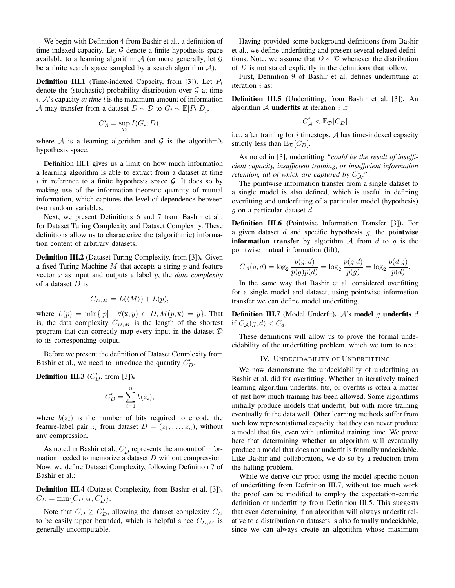We begin with Definition 4 from Bashir et al., a definition of time-indexed capacity. Let  $G$  denote a finite hypothesis space available to a learning algorithm  $\mathcal A$  (or more generally, let  $\mathcal G$ be a finite search space sampled by a search algorithm  $A$ ).

**Definition III.1** (Time-indexed Capacity, from [3]). Let  $P_i$ denote the (stochastic) probability distribution over  $G$  at time i. A's capacity *at time i* is the maximum amount of information A may transfer from a dataset  $D \sim \mathcal{D}$  to  $G_i \sim \mathbb{E}[P_i|D]$ ,

$$
C_{\mathcal{A}}^{i} = \sup_{\mathcal{D}} I(G_{i}; D),
$$

where A is a learning algorithm and  $G$  is the algorithm's hypothesis space.

Definition III.1 gives us a limit on how much information a learning algorithm is able to extract from a dataset at time i in reference to a finite hypothesis space  $\mathcal G$ . It does so by making use of the information-theoretic quantity of mutual information, which captures the level of dependence between two random variables.

Next, we present Definitions 6 and 7 from Bashir et al., for Dataset Turing Complexity and Dataset Complexity. These definitions allow us to characterize the (algorithmic) information content of arbitrary datasets.

Definition III.2 (Dataset Turing Complexity, from [3]). Given a fixed Turing Machine  $M$  that accepts a string  $p$  and feature vector x as input and outputs a label y, the *data complexity* of a dataset  $D$  is

$$
C_{D,M} = L(\langle M \rangle) + L(p),
$$

where  $L(p) = \min\{|p| : \forall (\mathbf{x}, y) \in D, M(p, \mathbf{x}) = y\}.$  That is, the data complexity  $C_{D,M}$  is the length of the shortest program that can correctly map every input in the dataset  $D$ to its corresponding output.

Before we present the definition of Dataset Complexity from Bashir et al., we need to introduce the quantity  $C'_D$ .

**Definition III.3** ( $C_D^{\prime}$ , from [3]).

$$
C'_D = \sum_{i=1}^n b(z_i),
$$

where  $b(z_i)$  is the number of bits required to encode the feature-label pair  $z_i$  from dataset  $D = (z_1, \ldots, z_n)$ , without any compression.

As noted in Bashir et al.,  $C_D'$  represents the amount of information needed to memorize a dataset D without compression. Now, we define Dataset Complexity, following Definition 7 of Bashir et al.:

Definition III.4 (Dataset Complexity, from Bashir et al. [3]).  $C_D = \min\{C_{D,M}, C'_D\}.$ 

Note that  $C_D \geq C'_D$ , allowing the dataset complexity  $C_D$ to be easily upper bounded, which is helpful since  $C_{D,M}$  is generally uncomputable.

Having provided some background definitions from Bashir et al., we define underfitting and present several related definitions. Note, we assume that  $D \sim \mathcal{D}$  whenever the distribution of  $D$  is not stated explicitly in the definitions that follow.

First, Definition 9 of Bashir et al. defines underfitting at iteration *i* as:

Definition III.5 (Underfitting, from Bashir et al. [3]). An algorithm  $A$  underfits at iteration i if

$$
C^i_{\mathcal{A}} < \mathbb{E}_{\mathcal{D}}[C_D]
$$

i.e., after training for  $i$  timesteps,  $A$  has time-indexed capacity strictly less than  $\mathbb{E}_{\mathcal{D}}[C_D]$ .

As noted in [3], underfitting *"could be the result of insufficient capacity, insufficient training, or insufficient information retention, all of which are captured by*  $C_A^i$ ."

The pointwise information transfer from a single dataset to a single model is also defined, which is useful in defining overfitting and underfitting of a particular model (hypothesis) g on a particular dataset d.

Definition III.6 (Pointwise Information Transfer [3]). For a given dataset  $d$  and specific hypothesis  $g$ , the **pointwise information transfer** by algorithm  $\mathcal A$  from  $d$  to  $q$  is the pointwise mutual information (lift),

$$
C_{\mathcal{A}}(g,d) = \log_2 \frac{p(g,d)}{p(g)p(d)} = \log_2 \frac{p(g|d)}{p(g)} = \log_2 \frac{p(d|g)}{p(d)}.
$$

In the same way that Bashir et al. considered overfitting for a single model and dataset, using pointwise information transfer we can define model underfitting.

**Definition III.7** (Model Underfit).  $A$ 's model  $g$  underfits  $d$ if  $C_{\mathcal{A}}(g,d) < C_d$ .

These definitions will allow us to prove the formal undecidability of the underfitting problem, which we turn to next.

#### IV. UNDECIDABILITY OF UNDERFITTING

We now demonstrate the undecidability of underfitting as Bashir et al. did for overfitting. Whether an iteratively trained learning algorithm underfits, fits, or overfits is often a matter of just how much training has been allowed. Some algorithms initially produce models that underfit, but with more training eventually fit the data well. Other learning methods suffer from such low representational capacity that they can never produce a model that fits, even with unlimited training time. We prove here that determining whether an algorithm will eventually produce a model that does not underfit is formally undecidable. Like Bashir and collaborators, we do so by a reduction from the halting problem.

While we derive our proof using the model-specific notion of underfitting from Definition III.7, without too much work the proof can be modified to employ the expectation-centric definition of underfitting from Definition III.5. This suggests that even determining if an algorithm will always underfit relative to a distribution on datasets is also formally undecidable, since we can always create an algorithm whose maximum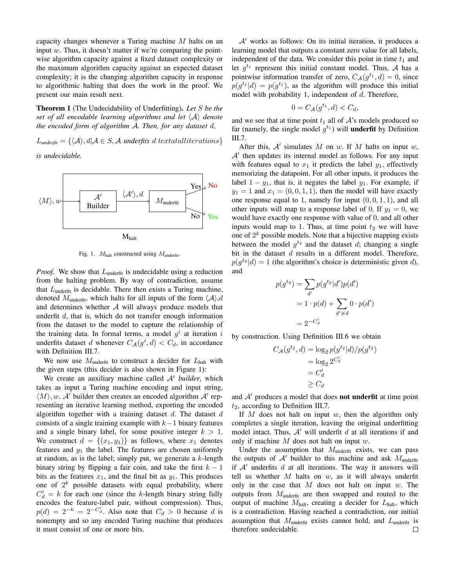capacity changes whenever a Turing machine M halts on an input  $w$ . Thus, it doesn't matter if we're comparing the pointwise algorithm capacity against a fixed dataset complexity or the maximum algorithm capacity against an expected dataset complexity; it is the changing algorithm capacity in response to algorithmic halting that does the work in the proof. We present our main result next.

Theorem 1 (The Undecidability of Underfitting). *Let* S *be the set of all encodable learning algorithms and let*  $\langle A \rangle$  *denote the encoded form of algorithm* A*. Then, for any dataset* d*,*

 $L_{\text{underfit}} = {\langle A \rangle, d | A \in S, A}$  *underfits* d textatalliterations

*is undecidable.*



Fig. 1.  $M_{\text{halt}}$  constructed using  $M_{\text{underfit}}$ .

*Proof.* We show that  $L_{\text{underfit}}$  is undecidable using a reduction from the halting problem. By way of contradiction, assume that  $L_{\text{underfit}}$  is decidable. There then exists a Turing machine, denoted  $M_{\text{underfit}}$ , which halts for all inputs of the form  $\langle A \rangle$ ,d and determines whether  $A$  will always produce models that underfit  $d$ , that is, which do not transfer enough information from the dataset to the model to capture the relationship of the training data. In formal terms, a model  $g^i$  at iteration i underfits dataset d whenever  $C_{\mathcal{A}}(g^i, d) < C_d$ , in accordance with Definition III.7.

We now use  $M_{\text{underfit}}$  to construct a decider for  $L_{\text{halt}}$  with the given steps (this decider is also shown in Figure 1):

We create an auxiliary machine called  $A'$  *builder*, which takes as input a Turing machine encoding and input string,  $\langle M \rangle$ , w. A' builder then creates an encoded algorithm A' representing an iterative learning method, exporting the encoded algorithm together with a training dataset  $d$ . The dataset  $d$ consists of a single training example with  $k-1$  binary features and a single binary label, for some positive integer  $k > 1$ . We construct  $d = \{(x_1, y_1)\}\$ as follows, where  $x_1$  denotes features and  $y_1$  the label. The features are chosen uniformly at random, as is the label; simply put, we generate a  $k$ -length binary string by flipping a fair coin, and take the first  $k - 1$ bits as the features  $x_1$ , and the final bit as  $y_1$ . This produces one of  $2^k$  possible datasets with equal probability, where  $C'_d = k$  for each one (since the k-length binary string fully encodes the feature-label pair, without compression). Thus,  $p(d) = 2^{-k} = 2^{-C'_d}$ . Also note that  $C_d > 0$  because d is nonempty and so any encoded Turing machine that produces it must consist of one or more bits.

 $A'$  works as follows: On its initial iteration, it produces a learning model that outputs a constant zero value for all labels, independent of the data. We consider this point in time  $t_1$  and let  $g^{t_1}$  represent this initial constant model. Thus, A has a pointwise information transfer of zero,  $C_{\mathcal{A}}(g^{t_1}, d) = 0$ , since  $p(g^{t_1}|d) = p(g^{t_1})$ , as the algorithm will produce this initial model with probability 1, independent of  $d$ . Therefore,

$$
0 = C_{\mathcal{A}}(g^{t_1}, d) < C_d,
$$

and we see that at time point  $t_1$  all of  $A$ 's models produced so far (namely, the single model  $g^{t_1}$ ) will **underfit** by Definition III.7.

After this,  $A'$  simulates  $M$  on  $w$ . If  $M$  halts on input  $w$ ,  $A'$  then updates its internal model as follows. For any input with features equal to  $x_1$  it predicts the label  $y_1$ , effectively memorizing the datapoint. For all other inputs, it produces the label  $1 - y_1$ , that is, it negates the label  $y_1$ . For example, if  $y_1 = 1$  and  $x_1 = (0, 0, 1, 1)$ , then the model will have exactly one response equal to 1, namely for input  $(0, 0, 1, 1)$ , and all other inputs will map to a response label of 0. If  $y_1 = 0$ , we would have exactly one response with value of 0, and all other inputs would map to 1. Thus, at time point  $t_2$  we will have one of  $2^k$  possible models. Note that a bijective mapping exists between the model  $g^{t_2}$  and the dataset d; changing a single bit in the dataset  $d$  results in a different model. Therefore,  $p(g^{t_2}|d) = 1$  (the algorithm's choice is deterministic given d), and

$$
p(g^{t_2}) = \sum_{d'} p(g^{t_2}|d')p(d')
$$

$$
= 1 \cdot p(d) + \sum_{d' \neq d} 0 \cdot p(d')
$$

$$
= 2^{-C'_d}
$$

by construction. Using Definition III.6 we obtain

$$
C_{\mathcal{A}}(g^{t_2}, d) = \log_2 p(g^{t_2}|d)/p(g^{t_2})
$$

$$
= \log_2 2^{C'_d}
$$

$$
= C'_d
$$

$$
\ge C_d
$$

and  $A'$  produces a model that does **not underfit** at time point  $t_2$ , according to Definition III.7.

If  $M$  does not halt on input  $w$ , then the algorithm only completes a single iteration, leaving the original underfitting model intact. Thus,  $A'$  will underfit d at all iterations if and only if machine  $M$  does not halt on input  $w$ .

Under the assumption that  $M_{\text{underfit}}$  exists, we can pass the outputs of  $A'$  builder to this machine and ask  $M_{\text{underfit}}$ if  $A'$  underfits d at all iterations. The way it answers will tell us whether  $M$  halts on  $w$ , as it will always underfit only in the case that  $M$  does not halt on input  $w$ . The outputs from  $M<sub>underfit</sub>$  are then swapped and routed to the output of machine  $M_{\text{halt}}$ , creating a decider for  $L_{\text{halt}}$ , which is a contradiction. Having reached a contradiction, our initial assumption that  $M_{\text{underfit}}$  exists cannot hold, and  $L_{\text{underfit}}$  is therefore undecidable. $\Box$